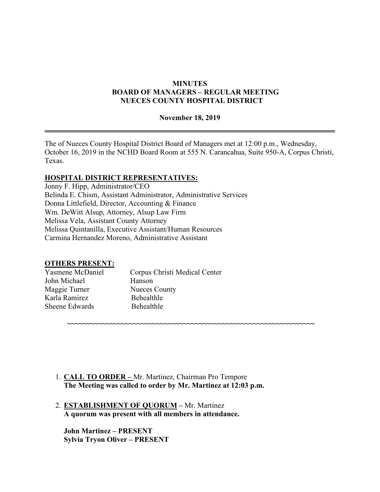## **MINUTES BOARD OF MANAGERS – REGULAR MEETING NUECES COUNTY HOSPITAL DISTRICT**

## **November 18, 2019**

The of Nueces County Hospital District Board of Managers met at 12:00 p.m., Wednesday, October 16, 2019 in the NCHD Board Room at 555 N. Carancahua, Suite 950-A, Corpus Christi, Texas.

**~~~~~~~~~~~~~~~~~~~~~~~~~~~~~~~~~~~~~~~~~~~~~~~~~~~~~~~~~~~~~~~~**

### **HOSPITAL DISTRICT REPRESENTATIVES:**

Jonny F. Hipp, Administrator/CEO Belinda E. Chism, Assistant Administrator, Administrative Services Donna Littlefield, Director, Accounting & Finance Wm. DeWitt Alsup, Attorney, Alsup Law Firm Melissa Vela, Assistant County Attorney Melissa Quintanilla, Executive Assistant/Human Resources Carmina Hernandez Moreno, Administrative Assistant

## **OTHERS PRESENT:**

| Yasmene McDaniel | Corpus Christi Medical Center |
|------------------|-------------------------------|
| John Michael     | Hanson                        |
| Maggie Turner    | <b>Nueces County</b>          |
| Karla Ramirez    | Behealthle                    |
| Sheene Edwards   | <b>Behealthle</b>             |
|                  |                               |

- 1. **CALL TO ORDER –** Mr. Martinez, Chairman Pro Tempore **The Meeting was called to order by Mr. Martinez at 12:03 p.m.**
- 2. **ESTABLISHMENT OF QUORUM –** Mr. Martinez **A quorum was present with all members in attendance.**

**John Martinez – PRESENT Sylvia Tryon Oliver – PRESENT**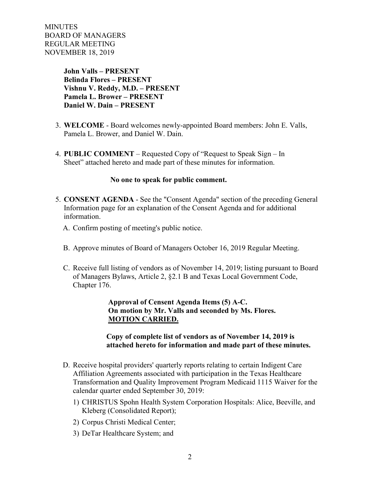> **John Valls – PRESENT Belinda Flores – PRESENT Vishnu V. Reddy, M.D. – PRESENT Pamela L. Brower – PRESENT Daniel W. Dain – PRESENT**

- 3. **WELCOME** Board welcomes newly-appointed Board members: John E. Valls, Pamela L. Brower, and Daniel W. Dain.
- 4. **PUBLIC COMMENT** Requested Copy of "Request to Speak Sign In Sheet" attached hereto and made part of these minutes for information.

### **No one to speak for public comment.**

- 5. **CONSENT AGENDA** See the "Consent Agenda" section of the preceding General Information page for an explanation of the Consent Agenda and for additional information.
	- A. Confirm posting of meeting's public notice.
	- B. Approve minutes of Board of Managers October 16, 2019 Regular Meeting.
	- C. Receive full listing of vendors as of November 14, 2019; listing pursuant to Board of Managers Bylaws, Article 2, §2.1 B and Texas Local Government Code, Chapter 176.

 **Approval of Censent Agenda Items (5) A-C. On motion by Mr. Valls and seconded by Ms. Flores. MOTION CARRIED.** 

 **Copy of complete list of vendors as of November 14, 2019 is attached hereto for information and made part of these minutes.**

- D. Receive hospital providers' quarterly reports relating to certain Indigent Care Affiliation Agreements associated with participation in the Texas Healthcare Transformation and Quality Improvement Program Medicaid 1115 Waiver for the calendar quarter ended September 30, 2019:
	- 1) CHRISTUS Spohn Health System Corporation Hospitals: Alice, Beeville, and Kleberg (Consolidated Report);
	- 2) Corpus Christi Medical Center;
	- 3) DeTar Healthcare System; and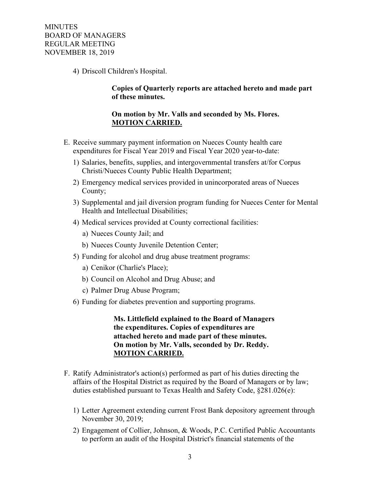4) Driscoll Children's Hospital.

 **Copies of Quarterly reports are attached hereto and made part of these minutes.** 

### **On motion by Mr. Valls and seconded by Ms. Flores. MOTION CARRIED.**

- E. Receive summary payment information on Nueces County health care expenditures for Fiscal Year 2019 and Fiscal Year 2020 year-to-date:
	- 1) Salaries, benefits, supplies, and intergovernmental transfers at/for Corpus Christi/Nueces County Public Health Department;
	- 2) Emergency medical services provided in unincorporated areas of Nueces County;
	- 3) Supplemental and jail diversion program funding for Nueces Center for Mental Health and Intellectual Disabilities;
	- 4) Medical services provided at County correctional facilities:
		- a) Nueces County Jail; and
		- b) Nueces County Juvenile Detention Center;
	- 5) Funding for alcohol and drug abuse treatment programs:
		- a) Cenikor (Charlie's Place);
		- b) Council on Alcohol and Drug Abuse; and
		- c) Palmer Drug Abuse Program;
	- 6) Funding for diabetes prevention and supporting programs.

 **Ms. Littlefield explained to the Board of Managers the expenditures. Copies of expenditures are attached hereto and made part of these minutes. On motion by Mr. Valls, seconded by Dr. Reddy. MOTION CARRIED.** 

- F. Ratify Administrator's action(s) performed as part of his duties directing the affairs of the Hospital District as required by the Board of Managers or by law; duties established pursuant to Texas Health and Safety Code, §281.026(e):
	- 1) Letter Agreement extending current Frost Bank depository agreement through November 30, 2019;
	- 2) Engagement of Collier, Johnson, & Woods, P.C. Certified Public Accountants to perform an audit of the Hospital District's financial statements of the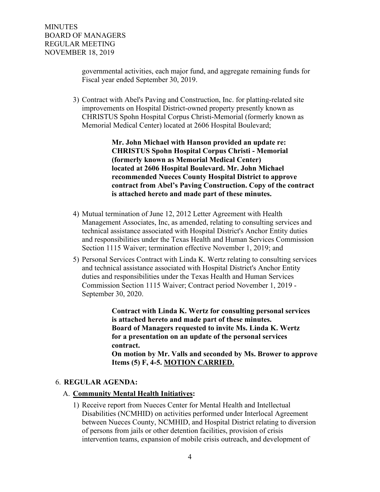governmental activities, each major fund, and aggregate remaining funds for Fiscal year ended September 30, 2019.

3) Contract with Abel's Paving and Construction, Inc. for platting-related site improvements on Hospital District-owned property presently known as CHRISTUS Spohn Hospital Corpus Christi-Memorial (formerly known as Memorial Medical Center) located at 2606 Hospital Boulevard;

> **Mr. John Michael with Hanson provided an update re: CHRISTUS Spohn Hospital Corpus Christi - Memorial (formerly known as Memorial Medical Center) located at 2606 Hospital Boulevard. Mr. John Michael recommended Nueces County Hospital District to approve contract from Abel's Paving Construction. Copy of the contract is attached hereto and made part of these minutes.**

- 4) Mutual termination of June 12, 2012 Letter Agreement with Health Management Associates, Inc, as amended, relating to consulting services and technical assistance associated with Hospital District's Anchor Entity duties and responsibilities under the Texas Health and Human Services Commission Section 1115 Waiver; termination effective November 1, 2019; and
- 5) Personal Services Contract with Linda K. Wertz relating to consulting services and technical assistance associated with Hospital District's Anchor Entity duties and responsibilities under the Texas Health and Human Services Commission Section 1115 Waiver; Contract period November 1, 2019 - September 30, 2020.

 **Contract with Linda K. Wertz for consulting personal services is attached hereto and made part of these minutes. Board of Managers requested to invite Ms. Linda K. Wertz for a presentation on an update of the personal services contract. On motion by Mr. Valls and seconded by Ms. Brower to approve Items (5) F, 4-5. MOTION CARRIED.**

## 6. **REGULAR AGENDA:**

## A. **Community Mental Health Initiatives:**

1) Receive report from Nueces Center for Mental Health and Intellectual Disabilities (NCMHID) on activities performed under Interlocal Agreement between Nueces County, NCMHID, and Hospital District relating to diversion of persons from jails or other detention facilities, provision of crisis intervention teams, expansion of mobile crisis outreach, and development of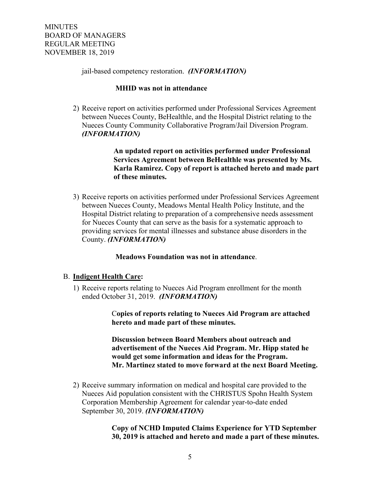jail-based competency restoration. *(INFORMATION)*

### **MHID was not in attendance**

2) Receive report on activities performed under Professional Services Agreement between Nueces County, BeHealthle, and the Hospital District relating to the Nueces County Community Collaborative Program/Jail Diversion Program. *(INFORMATION)*

> **An updated report on activities performed under Professional Services Agreement between BeHealthle was presented by Ms. Karla Ramirez. Copy of report is attached hereto and made part of these minutes.**

3) Receive reports on activities performed under Professional Services Agreement between Nueces County, Meadows Mental Health Policy Institute, and the Hospital District relating to preparation of a comprehensive needs assessment for Nueces County that can serve as the basis for a systematic approach to providing services for mental illnesses and substance abuse disorders in the County. *(INFORMATION)*

 **Meadows Foundation was not in attendance**.

## B. **Indigent Health Care:**

1) Receive reports relating to Nueces Aid Program enrollment for the month ended October 31, 2019. *(INFORMATION)*

> C**opies of reports relating to Nueces Aid Program are attached hereto and made part of these minutes.**

 **Discussion between Board Members about outreach and advertisement of the Nueces Aid Program. Mr. Hipp stated he would get some information and ideas for the Program. Mr. Martinez stated to move forward at the next Board Meeting.** 

2) Receive summary information on medical and hospital care provided to the Nueces Aid population consistent with the CHRISTUS Spohn Health System Corporation Membership Agreement for calendar year-to-date ended September 30, 2019. *(INFORMATION)*

> **Copy of NCHD Imputed Claims Experience for YTD September 30, 2019 is attached and hereto and made a part of these minutes.**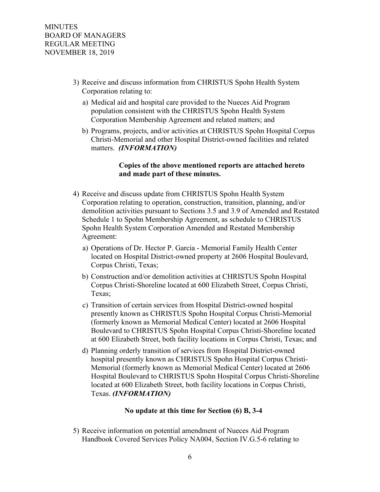- 3) Receive and discuss information from CHRISTUS Spohn Health System Corporation relating to:
	- a) Medical aid and hospital care provided to the Nueces Aid Program population consistent with the CHRISTUS Spohn Health System Corporation Membership Agreement and related matters; and
	- b) Programs, projects, and/or activities at CHRISTUS Spohn Hospital Corpus Christi-Memorial and other Hospital District-owned facilities and related matters. *(INFORMATION)*

## **Copies of the above mentioned reports are attached hereto and made part of these minutes.**

- 4) Receive and discuss update from CHRISTUS Spohn Health System Corporation relating to operation, construction, transition, planning, and/or demolition activities pursuant to Sections 3.5 and 3.9 of Amended and Restated Schedule 1 to Spohn Membership Agreement, as schedule to CHRISTUS Spohn Health System Corporation Amended and Restated Membership Agreement:
	- a) Operations of Dr. Hector P. Garcia Memorial Family Health Center located on Hospital District-owned property at 2606 Hospital Boulevard, Corpus Christi, Texas;
	- b) Construction and/or demolition activities at CHRISTUS Spohn Hospital Corpus Christi-Shoreline located at 600 Elizabeth Street, Corpus Christi, Texas;
	- c) Transition of certain services from Hospital District-owned hospital presently known as CHRISTUS Spohn Hospital Corpus Christi-Memorial (formerly known as Memorial Medical Center) located at 2606 Hospital Boulevard to CHRISTUS Spohn Hospital Corpus Christi-Shoreline located at 600 Elizabeth Street, both facility locations in Corpus Christi, Texas; and
	- d) Planning orderly transition of services from Hospital District-owned hospital presently known as CHRISTUS Spohn Hospital Corpus Christi-Memorial (formerly known as Memorial Medical Center) located at 2606 Hospital Boulevard to CHRISTUS Spohn Hospital Corpus Christi-Shoreline located at 600 Elizabeth Street, both facility locations in Corpus Christi, Texas. *(INFORMATION)*

## **No update at this time for Section (6) B, 3-4**

5) Receive information on potential amendment of Nueces Aid Program Handbook Covered Services Policy NA004, Section IV.G.5-6 relating to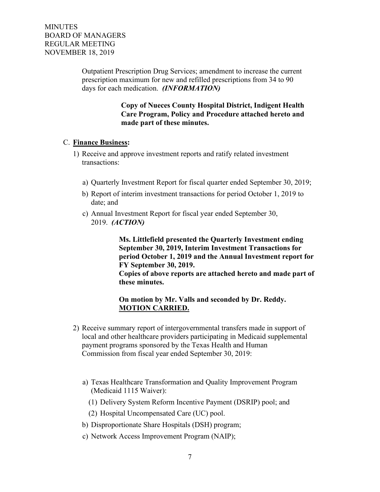Outpatient Prescription Drug Services; amendment to increase the current prescription maximum for new and refilled prescriptions from 34 to 90 days for each medication. *(INFORMATION)*

> **Copy of Nueces County Hospital District, Indigent Health Care Program, Policy and Procedure attached hereto and made part of these minutes.**

## C. **Finance Business:**

- 1) Receive and approve investment reports and ratify related investment transactions:
	- a) Quarterly Investment Report for fiscal quarter ended September 30, 2019;
	- b) Report of interim investment transactions for period October 1, 2019 to date; and
	- c) Annual Investment Report for fiscal year ended September 30, 2019. *(ACTION)*

 **Ms. Littlefield presented the Quarterly Investment ending September 30, 2019, Interim Investment Transactions for period October 1, 2019 and the Annual Investment report for FY September 30, 2019.** 

 **Copies of above reports are attached hereto and made part of these minutes.**

### **On motion by Mr. Valls and seconded by Dr. Reddy. MOTION CARRIED.**

- 2) Receive summary report of intergovernmental transfers made in support of local and other healthcare providers participating in Medicaid supplemental payment programs sponsored by the Texas Health and Human Commission from fiscal year ended September 30, 2019:
	- a) Texas Healthcare Transformation and Quality Improvement Program (Medicaid 1115 Waiver):
		- (1) Delivery System Reform Incentive Payment (DSRIP) pool; and
		- (2) Hospital Uncompensated Care (UC) pool.
	- b) Disproportionate Share Hospitals (DSH) program;
	- c) Network Access Improvement Program (NAIP);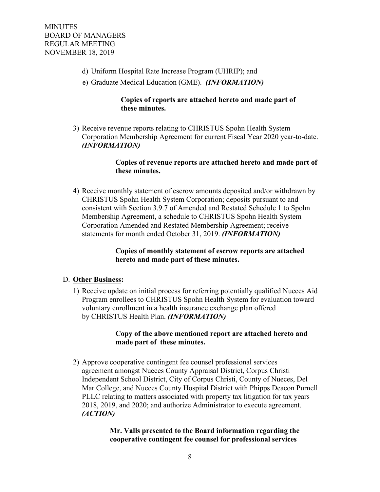- d) Uniform Hospital Rate Increase Program (UHRIP); and
- e) Graduate Medical Education (GME). *(INFORMATION)*

## **Copies of reports are attached hereto and made part of these minutes.**

3) Receive revenue reports relating to CHRISTUS Spohn Health System Corporation Membership Agreement for current Fiscal Year 2020 year-to-date. *(INFORMATION)*

## **Copies of revenue reports are attached hereto and made part of these minutes.**

4) Receive monthly statement of escrow amounts deposited and/or withdrawn by CHRISTUS Spohn Health System Corporation; deposits pursuant to and consistent with Section 3.9.7 of Amended and Restated Schedule 1 to Spohn Membership Agreement, a schedule to CHRISTUS Spohn Health System Corporation Amended and Restated Membership Agreement; receive statements for month ended October 31, 2019. *(INFORMATION)*

## **Copies of monthly statement of escrow reports are attached hereto and made part of these minutes.**

## D. **Other Business:**

1) Receive update on initial process for referring potentially qualified Nueces Aid Program enrollees to CHRISTUS Spohn Health System for evaluation toward voluntary enrollment in a health insurance exchange plan offered by CHRISTUS Health Plan. *(INFORMATION)*

## **Copy of the above mentioned report are attached hereto and made part of these minutes.**

2) Approve cooperative contingent fee counsel professional services agreement amongst Nueces County Appraisal District, Corpus Christi Independent School District, City of Corpus Christi, County of Nueces, Del Mar College, and Nueces County Hospital District with Phipps Deacon Purnell PLLC relating to matters associated with property tax litigation for tax years 2018, 2019, and 2020; and authorize Administrator to execute agreement. *(ACTION)*

## **Mr. Valls presented to the Board information regarding the cooperative contingent fee counsel for professional services**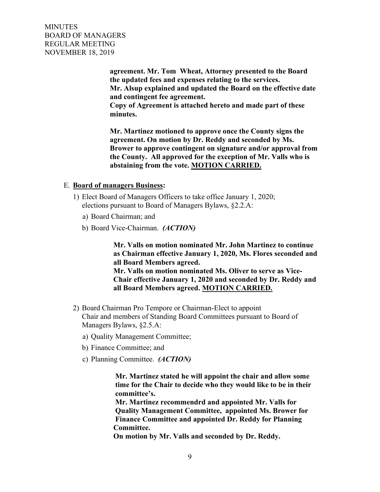> **agreement. Mr. Tom Wheat, Attorney presented to the Board the updated fees and expenses relating to the services. Mr. Alsup explained and updated the Board on the effective date and contingent fee agreement.**

 **Copy of Agreement is attached hereto and made part of these minutes.**

 **Mr. Martinez motioned to approve once the County signs the agreement. On motion by Dr. Reddy and seconded by Ms. Brower to approve contingent on signature and/or approval from the County. All approved for the exception of Mr. Valls who is abstaining from the vote. MOTION CARRIED.** 

#### E. **Board of managers Business:**

- 1) Elect Board of Managers Officers to take office January 1, 2020; elections pursuant to Board of Managers Bylaws, §2.2.A:
	- a) Board Chairman; and
	- b) Board Vice-Chairman. *(ACTION)*

 **Mr. Valls on motion nominated Mr. John Martinez to continue as Chairman effective January 1, 2020, Ms. Flores seconded and all Board Members agreed. Mr. Valls on motion nominated Ms. Oliver to serve as Vice- Chair effective January 1, 2020 and seconded by Dr. Reddy and all Board Members agreed. MOTION CARRIED.**

- 2) Board Chairman Pro Tempore or Chairman-Elect to appoint Chair and members of Standing Board Committees pursuant to Board of Managers Bylaws, §2.5.A:
	- a) Quality Management Committee;
	- b) Finance Committee; and
	- c) Planning Committee. *(ACTION)*

 **Mr. Martinez stated he will appoint the chair and allow some time for the Chair to decide who they would like to be in their committee's.** 

 **Mr. Martinez recommendrd and appointed Mr. Valls for Quality Management Committee, appointed Ms. Brower for Finance Committee and appointed Dr. Reddy for Planning Committee.** 

 **On motion by Mr. Valls and seconded by Dr. Reddy.**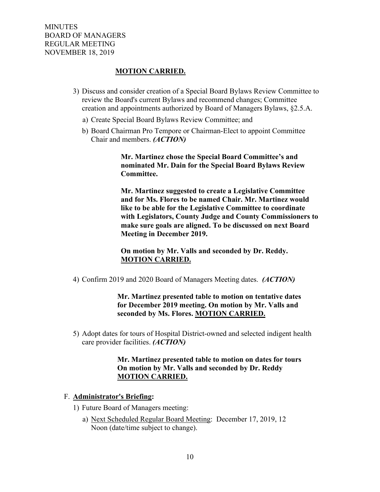## **MOTION CARRIED.**

- 3) Discuss and consider creation of a Special Board Bylaws Review Committee to review the Board's current Bylaws and recommend changes; Committee creation and appointments authorized by Board of Managers Bylaws, §2.5.A.
	- a) Create Special Board Bylaws Review Committee; and
	- b) Board Chairman Pro Tempore or Chairman-Elect to appoint Committee Chair and members. *(ACTION)*

 **Mr. Martinez chose the Special Board Committee's and nominated Mr. Dain for the Special Board Bylaws Review Committee.** 

 **Mr. Martinez suggested to create a Legislative Committee and for Ms. Flores to be named Chair. Mr. Martinez would like to be able for the Legislative Committee to coordinate with Legislators, County Judge and County Commissioners to make sure goals are aligned. To be discussed on next Board Meeting in December 2019.**

 **On motion by Mr. Valls and seconded by Dr. Reddy. MOTION CARRIED.** 

4) Confirm 2019 and 2020 Board of Managers Meeting dates. *(ACTION)*

 **Mr. Martinez presented table to motion on tentative dates for December 2019 meeting. On motion by Mr. Valls and seconded by Ms. Flores. MOTION CARRIED.**

5) Adopt dates for tours of Hospital District-owned and selected indigent health care provider facilities. *(ACTION)*

## **Mr. Martinez presented table to motion on dates for tours On motion by Mr. Valls and seconded by Dr. Reddy MOTION CARRIED.**

#### F. **Administrator's Briefing:**

- 1) Future Board of Managers meeting:
	- a) Next Scheduled Regular Board Meeting: December 17, 2019, 12 Noon (date/time subject to change).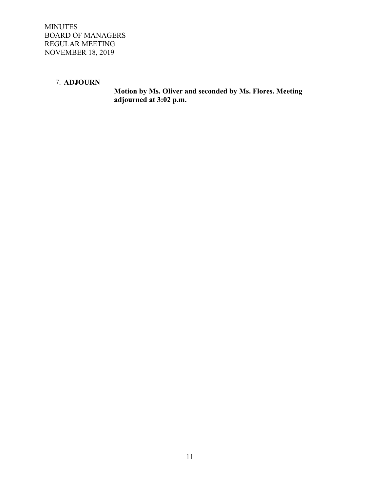# 7. **ADJOURN**

 **Motion by Ms. Oliver and seconded by Ms. Flores. Meeting adjourned at 3:02 p.m.**